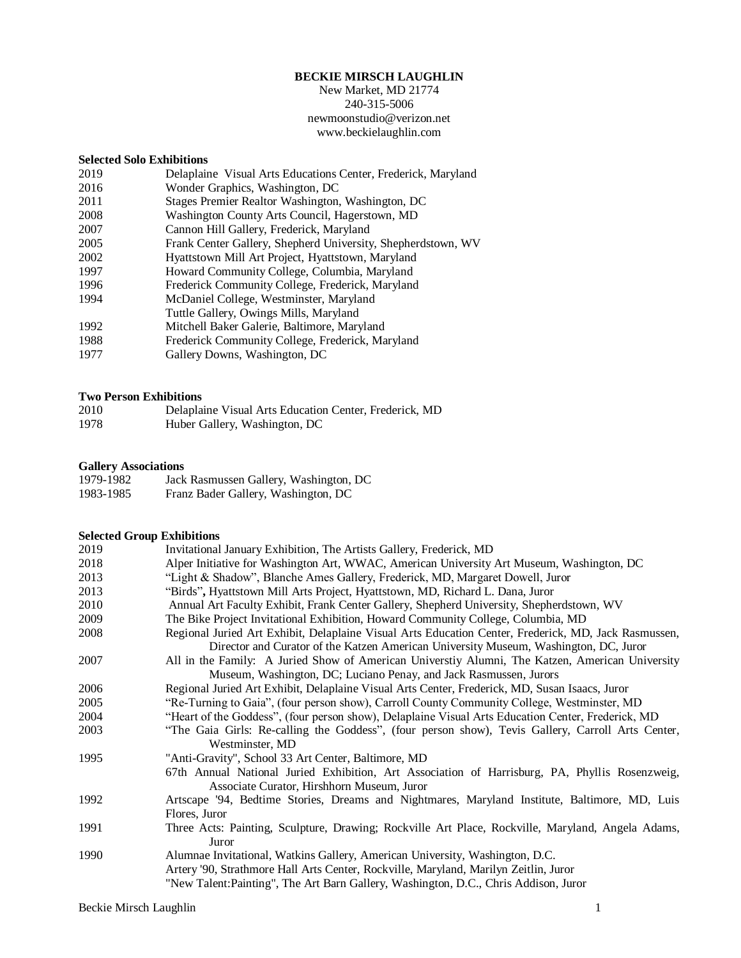## **BECKIE MIRSCH LAUGHLIN**

New Market, MD 21774 240-315-5006 newmoonstudio@verizon.net www.beckielaughlin.com

### **Selected Solo Exhibitions**

| 2019 | Delaplaine Visual Arts Educations Center, Frederick, Maryland |
|------|---------------------------------------------------------------|
| 2016 | Wonder Graphics, Washington, DC                               |
| 2011 | Stages Premier Realtor Washington, Washington, DC             |
| 2008 | Washington County Arts Council, Hagerstown, MD                |
| 2007 | Cannon Hill Gallery, Frederick, Maryland                      |
| 2005 | Frank Center Gallery, Shepherd University, Shepherdstown, WV  |
| 2002 | Hyattstown Mill Art Project, Hyattstown, Maryland             |
| 1997 | Howard Community College, Columbia, Maryland                  |
| 1996 | Frederick Community College, Frederick, Maryland              |
| 1994 | McDaniel College, Westminster, Maryland                       |
|      | Tuttle Gallery, Owings Mills, Maryland                        |
| 1992 | Mitchell Baker Galerie, Baltimore, Maryland                   |
| 1988 | Frederick Community College, Frederick, Maryland              |
| 1977 | Gallery Downs, Washington, DC                                 |
|      |                                                               |

### **Two Person Exhibitions**

| 2010 | Delaplaine Visual Arts Education Center, Frederick, MD |
|------|--------------------------------------------------------|
| 1978 | Huber Gallery, Washington, DC                          |

### **Gallery Associations**

| 1979-1982 | Jack Rasmussen Gallery, Washington, DC |
|-----------|----------------------------------------|
| 1983-1985 | Franz Bader Gallery, Washington, DC    |

### **Selected Group Exhibitions**

| 2019 | Invitational January Exhibition, The Artists Gallery, Frederick, MD                                                                                                                                                                                          |
|------|--------------------------------------------------------------------------------------------------------------------------------------------------------------------------------------------------------------------------------------------------------------|
| 2018 | Alper Initiative for Washington Art, WWAC, American University Art Museum, Washington, DC                                                                                                                                                                    |
| 2013 | "Light & Shadow", Blanche Ames Gallery, Frederick, MD, Margaret Dowell, Juror                                                                                                                                                                                |
| 2013 | "Birds", Hyattstown Mill Arts Project, Hyattstown, MD, Richard L. Dana, Juror                                                                                                                                                                                |
| 2010 | Annual Art Faculty Exhibit, Frank Center Gallery, Shepherd University, Shepherdstown, WV                                                                                                                                                                     |
| 2009 | The Bike Project Invitational Exhibition, Howard Community College, Columbia, MD                                                                                                                                                                             |
| 2008 | Regional Juried Art Exhibit, Delaplaine Visual Arts Education Center, Frederick, MD, Jack Rasmussen,<br>Director and Curator of the Katzen American University Museum, Washington, DC, Juror                                                                 |
| 2007 | All in the Family: A Juried Show of American Universtiy Alumni, The Katzen, American University                                                                                                                                                              |
|      | Museum, Washington, DC; Luciano Penay, and Jack Rasmussen, Jurors                                                                                                                                                                                            |
| 2006 | Regional Juried Art Exhibit, Delaplaine Visual Arts Center, Frederick, MD, Susan Isaacs, Juror                                                                                                                                                               |
| 2005 | "Re-Turning to Gaia", (four person show), Carroll County Community College, Westminster, MD                                                                                                                                                                  |
| 2004 | "Heart of the Goddess", (four person show), Delaplaine Visual Arts Education Center, Frederick, MD                                                                                                                                                           |
| 2003 | "The Gaia Girls: Re-calling the Goddess", (four person show), Tevis Gallery, Carroll Arts Center,<br>Westminster, MD                                                                                                                                         |
| 1995 | "Anti-Gravity", School 33 Art Center, Baltimore, MD                                                                                                                                                                                                          |
|      | 67th Annual National Juried Exhibition, Art Association of Harrisburg, PA, Phyllis Rosenzweig,<br>Associate Curator, Hirshhorn Museum, Juror                                                                                                                 |
| 1992 | Artscape '94, Bedtime Stories, Dreams and Nightmares, Maryland Institute, Baltimore, MD, Luis                                                                                                                                                                |
|      | Flores, Juror                                                                                                                                                                                                                                                |
| 1991 | Three Acts: Painting, Sculpture, Drawing; Rockville Art Place, Rockville, Maryland, Angela Adams,<br>Juror                                                                                                                                                   |
| 1990 | Alumnae Invitational, Watkins Gallery, American University, Washington, D.C.<br>Artery '90, Strathmore Hall Arts Center, Rockville, Maryland, Marilyn Zeitlin, Juror<br>"New Talent: Painting", The Art Barn Gallery, Washington, D.C., Chris Addison, Juror |